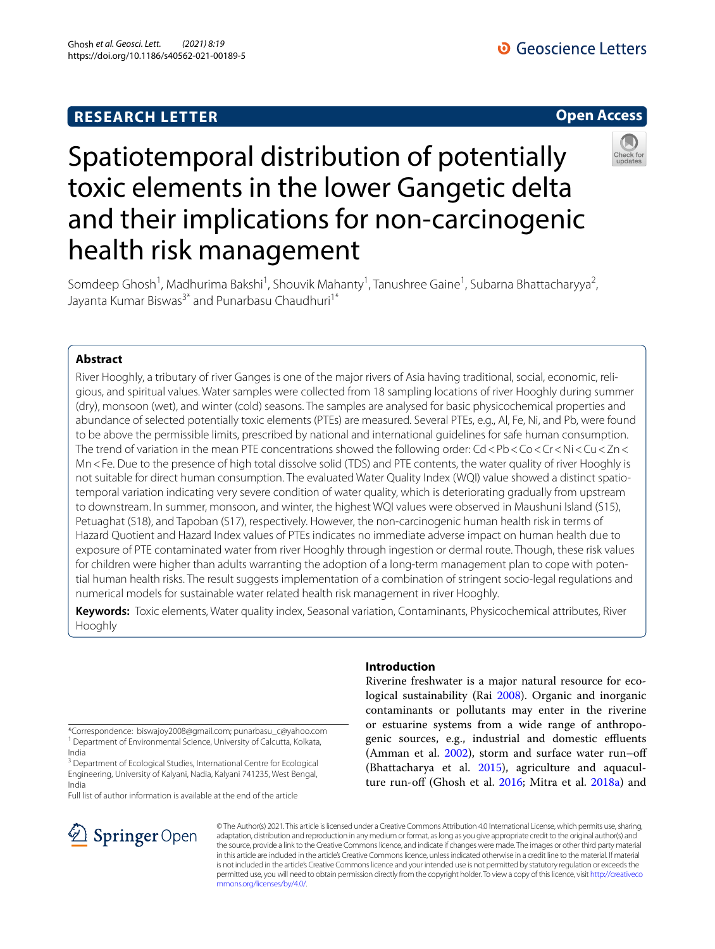## **RESEARCH LETTER**





# Spatiotemporal distribution of potentially toxic elements in the lower Gangetic delta and their implications for non-carcinogenic health risk management

Somdeep Ghosh<sup>1</sup>, Madhurima Bakshi<sup>1</sup>, Shouvik Mahanty<sup>1</sup>, Tanushree Gaine<sup>1</sup>, Subarna Bhattacharyya<sup>2</sup>, Javanta Kumar Biswas<sup>3\*</sup> and Punarbasu Chaudhuri<sup>1\*</sup>

## **Abstract**

River Hooghly, a tributary of river Ganges is one of the major rivers of Asia having traditional, social, economic, religious, and spiritual values. Water samples were collected from 18 sampling locations of river Hooghly during summer (dry), monsoon (wet), and winter (cold) seasons. The samples are analysed for basic physicochemical properties and abundance of selected potentially toxic elements (PTEs) are measured. Several PTEs, e.g., Al, Fe, Ni, and Pb, were found to be above the permissible limits, prescribed by national and international guidelines for safe human consumption. The trend of variation in the mean PTE concentrations showed the following order: Cd < Pb < Co < Cr < Ni < Cu < Zn < Mn < Fe. Due to the presence of high total dissolve solid (TDS) and PTE contents, the water quality of river Hooghly is not suitable for direct human consumption. The evaluated Water Quality Index (WQI) value showed a distinct spatiotemporal variation indicating very severe condition of water quality, which is deteriorating gradually from upstream to downstream. In summer, monsoon, and winter, the highest WQI values were observed in Maushuni Island (S15), Petuaghat (S18), and Tapoban (S17), respectively. However, the non-carcinogenic human health risk in terms of Hazard Quotient and Hazard Index values of PTEs indicates no immediate adverse impact on human health due to exposure of PTE contaminated water from river Hooghly through ingestion or dermal route. Though, these risk values for children were higher than adults warranting the adoption of a long-term management plan to cope with potential human health risks. The result suggests implementation of a combination of stringent socio-legal regulations and numerical models for sustainable water related health risk management in river Hooghly.

**Keywords:** Toxic elements, Water quality index, Seasonal variation, Contaminants, Physicochemical attributes, River Hooghly

\*Correspondence: biswajoy2008@gmail.com; punarbasu\_c@yahoo.com <sup>1</sup> Department of Environmental Science, University of Calcutta, Kolkata, India

<sup>3</sup> Department of Ecological Studies, International Centre for Ecological Engineering, University of Kalyani, Nadia, Kalyani 741235, West Bengal, India

Full list of author information is available at the end of the article

## SpringerOpen

## **Introduction**

Riverine freshwater is a major natural resource for ecological sustainability (Rai [2008\)](#page-12-0). Organic and inorganic contaminants or pollutants may enter in the riverine or estuarine systems from a wide range of anthropogenic sources, e.g., industrial and domestic effluents (Amman et al. [2002](#page-11-0)), storm and surface water run–off (Bhattacharya et al. [2015](#page-11-1)), agriculture and aquacul-ture run-off (Ghosh et al. [2016](#page-12-1); Mitra et al. [2018a\)](#page-12-2) and

© The Author(s) 2021. This article is licensed under a Creative Commons Attribution 4.0 International License, which permits use, sharing, adaptation, distribution and reproduction in any medium or format, as long as you give appropriate credit to the original author(s) and the source, provide a link to the Creative Commons licence, and indicate if changes were made. The images or other third party material in this article are included in the article's Creative Commons licence, unless indicated otherwise in a credit line to the material. If material is not included in the article's Creative Commons licence and your intended use is not permitted by statutory regulation or exceeds the permitted use, you will need to obtain permission directly from the copyright holder. To view a copy of this licence, visit http://creativeco mmons.org/licenses/by/4.0/.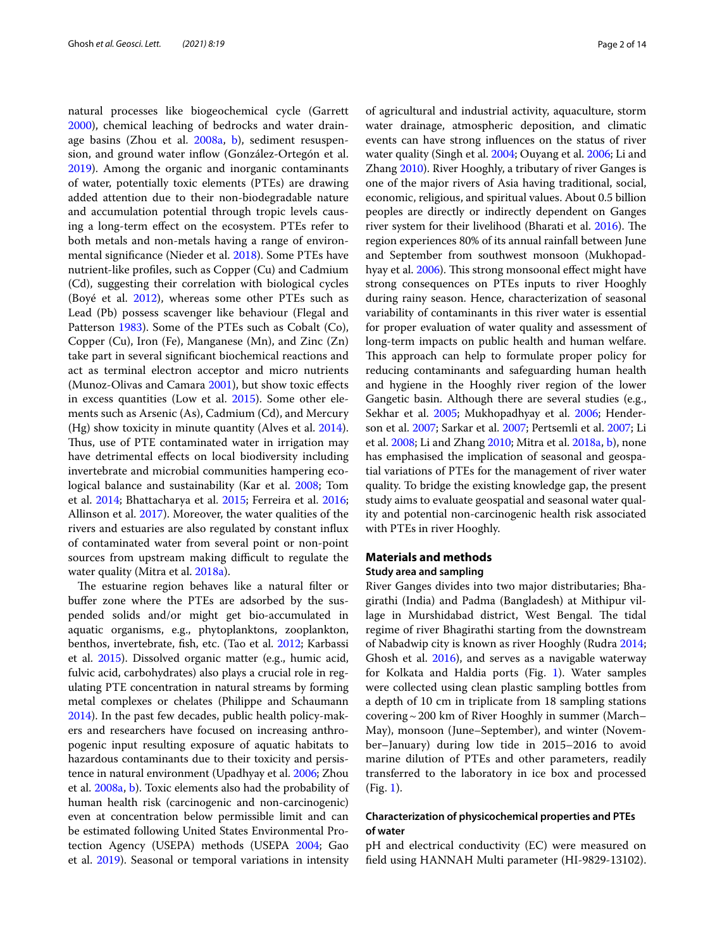natural processes like biogeochemical cycle (Garrett [2000](#page-11-2)), chemical leaching of bedrocks and water drain-age basins (Zhou et al. [2008a,](#page-13-0) [b](#page-13-1)), sediment resuspension, and ground water inflow (González-Ortegón et al. [2019](#page-12-3)). Among the organic and inorganic contaminants of water, potentially toxic elements (PTEs) are drawing added attention due to their non-biodegradable nature and accumulation potential through tropic levels causing a long-term effect on the ecosystem. PTEs refer to both metals and non-metals having a range of environmental significance (Nieder et al. [2018\)](#page-12-4). Some PTEs have nutrient-like profiles, such as Copper (Cu) and Cadmium (Cd), suggesting their correlation with biological cycles (Boyé et al. [2012\)](#page-11-3), whereas some other PTEs such as Lead (Pb) possess scavenger like behaviour (Flegal and Patterson [1983\)](#page-11-4). Some of the PTEs such as Cobalt (Co), Copper (Cu), Iron (Fe), Manganese (Mn), and Zinc (Zn) take part in several significant biochemical reactions and act as terminal electron acceptor and micro nutrients (Munoz-Olivas and Camara [2001](#page-12-5)), but show toxic effects in excess quantities (Low et al. [2015\)](#page-12-6). Some other elements such as Arsenic (As), Cadmium (Cd), and Mercury (Hg) show toxicity in minute quantity (Alves et al. [2014](#page-11-5)). Thus, use of PTE contaminated water in irrigation may have detrimental effects on local biodiversity including invertebrate and microbial communities hampering eco-logical balance and sustainability (Kar et al. [2008;](#page-12-7) Tom et al. [2014;](#page-13-2) Bhattacharya et al. [2015;](#page-11-1) Ferreira et al. [2016](#page-11-6); Allinson et al. [2017\)](#page-11-7). Moreover, the water qualities of the rivers and estuaries are also regulated by constant influx of contaminated water from several point or non-point sources from upstream making difficult to regulate the water quality (Mitra et al. [2018a\)](#page-12-2).

The estuarine region behaves like a natural filter or buffer zone where the PTEs are adsorbed by the suspended solids and/or might get bio-accumulated in aquatic organisms, e.g., phytoplanktons, zooplankton, benthos, invertebrate, fish, etc. (Tao et al. [2012;](#page-13-3) Karbassi et al. [2015](#page-12-8)). Dissolved organic matter (e.g., humic acid, fulvic acid, carbohydrates) also plays a crucial role in regulating PTE concentration in natural streams by forming metal complexes or chelates (Philippe and Schaumann [2014](#page-12-9)). In the past few decades, public health policy-makers and researchers have focused on increasing anthropogenic input resulting exposure of aquatic habitats to hazardous contaminants due to their toxicity and persistence in natural environment (Upadhyay et al. [2006;](#page-13-4) Zhou et al. [2008a,](#page-13-0) [b\)](#page-13-1). Toxic elements also had the probability of human health risk (carcinogenic and non-carcinogenic) even at concentration below permissible limit and can be estimated following United States Environmental Protection Agency (USEPA) methods (USEPA [2004](#page-13-5); Gao et al. [2019](#page-11-8)). Seasonal or temporal variations in intensity

of agricultural and industrial activity, aquaculture, storm water drainage, atmospheric deposition, and climatic events can have strong influences on the status of river water quality (Singh et al. [2004;](#page-13-6) Ouyang et al. [2006;](#page-12-10) Li and Zhang [2010\)](#page-12-11). River Hooghly, a tributary of river Ganges is one of the major rivers of Asia having traditional, social, economic, religious, and spiritual values. About 0.5 billion peoples are directly or indirectly dependent on Ganges river system for their livelihood (Bharati et al. [2016\)](#page-11-9). The region experiences 80% of its annual rainfall between June and September from southwest monsoon (Mukhopadhyay et al. [2006](#page-12-12)). This strong monsoonal effect might have strong consequences on PTEs inputs to river Hooghly during rainy season. Hence, characterization of seasonal variability of contaminants in this river water is essential for proper evaluation of water quality and assessment of long-term impacts on public health and human welfare. This approach can help to formulate proper policy for reducing contaminants and safeguarding human health and hygiene in the Hooghly river region of the lower Gangetic basin. Although there are several studies (e.g., Sekhar et al. [2005;](#page-13-7) Mukhopadhyay et al. [2006](#page-12-12); Henderson et al. [2007](#page-12-13); Sarkar et al. [2007](#page-13-8); Pertsemli et al. [2007;](#page-12-14) Li et al. [2008;](#page-12-15) Li and Zhang [2010;](#page-12-11) Mitra et al. [2018a,](#page-12-2) [b\)](#page-12-16), none has emphasised the implication of seasonal and geospatial variations of PTEs for the management of river water quality. To bridge the existing knowledge gap, the present study aims to evaluate geospatial and seasonal water quality and potential non-carcinogenic health risk associated with PTEs in river Hooghly.

## **Materials and methods Study area and sampling**

River Ganges divides into two major distributaries; Bhagirathi (India) and Padma (Bangladesh) at Mithipur village in Murshidabad district, West Bengal. The tidal regime of river Bhagirathi starting from the downstream of Nabadwip city is known as river Hooghly (Rudra [2014](#page-12-17); Ghosh et al. [2016\)](#page-12-1), and serves as a navigable waterway for Kolkata and Haldia ports (Fig. [1](#page-2-0)). Water samples were collected using clean plastic sampling bottles from a depth of 10 cm in triplicate from 18 sampling stations covering ~ 200 km of River Hooghly in summer (March– May), monsoon (June–September), and winter (November–January) during low tide in 2015–2016 to avoid marine dilution of PTEs and other parameters, readily transferred to the laboratory in ice box and processed (Fig. [1\)](#page-2-0).

## **Characterization of physicochemical properties and PTEs of water**

pH and electrical conductivity (EC) were measured on field using HANNAH Multi parameter (HI-9829-13102).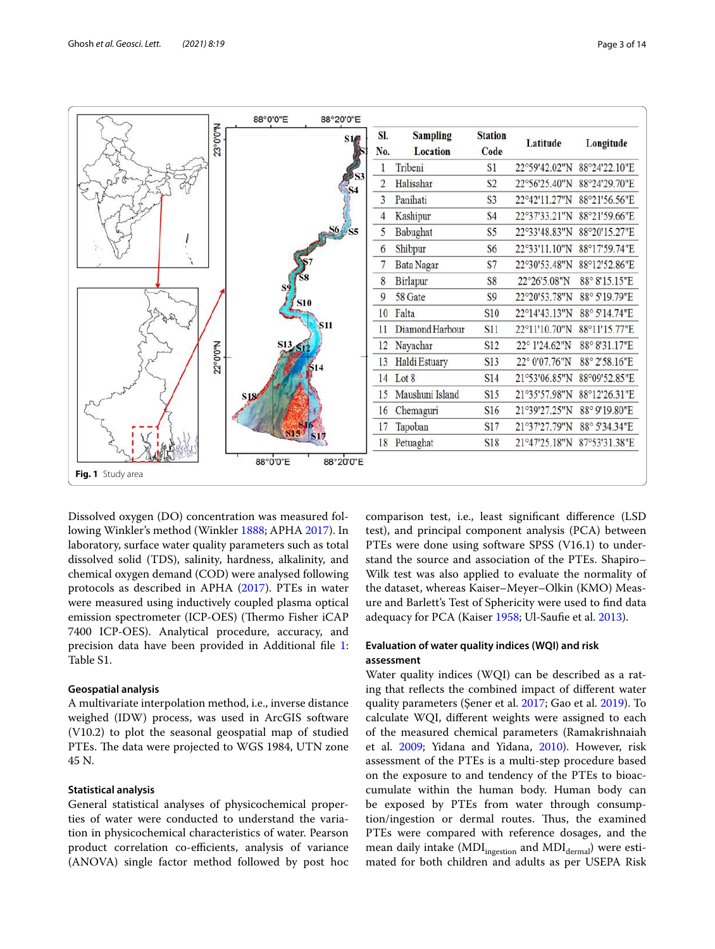

<span id="page-2-0"></span>Dissolved oxygen (DO) concentration was measured following Winkler's method (Winkler [1888](#page-13-9); APHA [2017](#page-11-10)). In laboratory, surface water quality parameters such as total dissolved solid (TDS), salinity, hardness, alkalinity, and chemical oxygen demand (COD) were analysed following protocols as described in APHA [\(2017\)](#page-11-10). PTEs in water were measured using inductively coupled plasma optical emission spectrometer (ICP-OES) (Thermo Fisher iCAP 7400 ICP-OES). Analytical procedure, accuracy, and precision data have been provided in Additional file [1](#page-11-11): Table S1.

#### **Geospatial analysis**

A multivariate interpolation method, i.e., inverse distance weighed (IDW) process, was used in ArcGIS software (V10.2) to plot the seasonal geospatial map of studied PTEs. The data were projected to WGS 1984, UTN zone 45 N.

#### **Statistical analysis**

General statistical analyses of physicochemical properties of water were conducted to understand the variation in physicochemical characteristics of water. Pearson product correlation co-efficients, analysis of variance (ANOVA) single factor method followed by post hoc comparison test, i.e., least significant difference (LSD test), and principal component analysis (PCA) between PTEs were done using software SPSS (V16.1) to understand the source and association of the PTEs. Shapiro– Wilk test was also applied to evaluate the normality of the dataset, whereas Kaiser–Meyer–Olkin (KMO) Measure and Barlett's Test of Sphericity were used to find data adequacy for PCA (Kaiser [1958;](#page-12-18) Ul-Saufie et al. [2013](#page-13-10)).

## **Evaluation of water quality indices (WQI) and risk assessment**

Water quality indices (WQI) can be described as a rating that reflects the combined impact of different water quality parameters (Şener et al. [2017](#page-13-11); Gao et al. [2019\)](#page-11-8). To calculate WQI, different weights were assigned to each of the measured chemical parameters (Ramakrishnaiah et al. [2009](#page-12-19); Yidana and Yidana, [2010\)](#page-13-12). However, risk assessment of the PTEs is a multi-step procedure based on the exposure to and tendency of the PTEs to bioaccumulate within the human body. Human body can be exposed by PTEs from water through consumption/ingestion or dermal routes. Thus, the examined PTEs were compared with reference dosages, and the mean daily intake (MDI<sub>ingestion</sub> and MDI<sub>dermal</sub>) were estimated for both children and adults as per USEPA Risk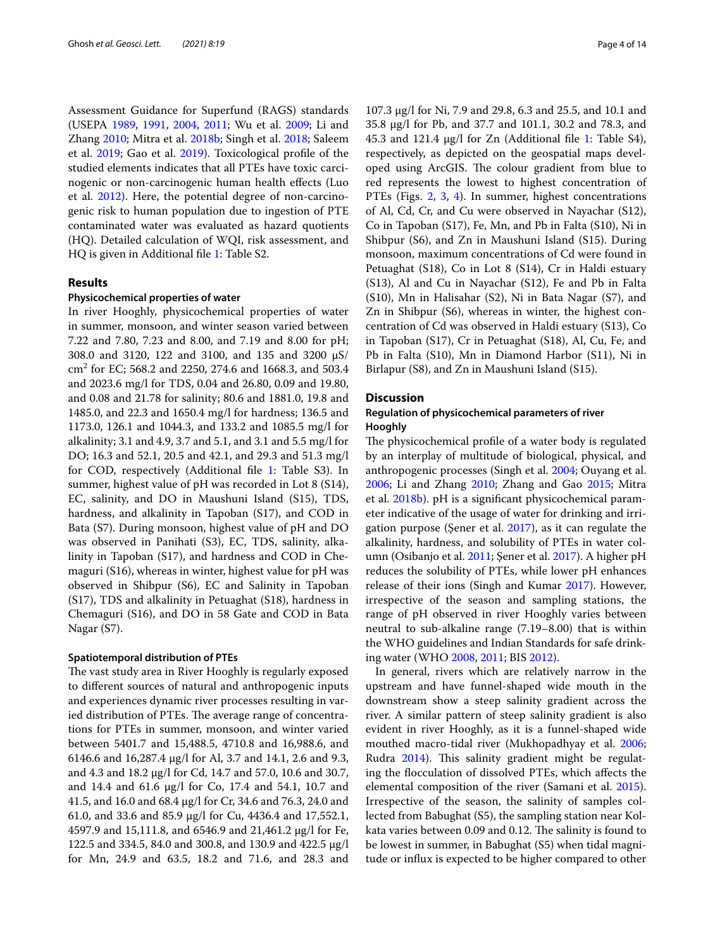Assessment Guidance for Superfund (RAGS) standards (USEPA [1989,](#page-13-13) [1991](#page-13-14), [2004,](#page-13-5) [2011;](#page-13-15) Wu et al. [2009;](#page-13-16) Li and Zhang [2010](#page-12-11); Mitra et al. [2018b](#page-12-16); Singh et al. [2018](#page-13-17); Saleem et al. [2019](#page-13-18); Gao et al. [2019\)](#page-11-8). Toxicological profile of the studied elements indicates that all PTEs have toxic carcinogenic or non-carcinogenic human health effects (Luo et al. [2012](#page-12-20)). Here, the potential degree of non-carcinogenic risk to human population due to ingestion of PTE contaminated water was evaluated as hazard quotients (HQ). Detailed calculation of WQI, risk assessment, and HQ is given in Additional file [1](#page-11-11): Table S2.

#### **Results**

#### **Physicochemical properties of water**

In river Hooghly, physicochemical properties of water in summer, monsoon, and winter season varied between 7.22 and 7.80, 7.23 and 8.00, and 7.19 and 8.00 for pH; 308.0 and 3120, 122 and 3100, and 135 and 3200 µS/ cm<sup>2</sup> for EC; 568.2 and 2250, 274.6 and 1668.3, and 503.4 and 2023.6 mg/l for TDS, 0.04 and 26.80, 0.09 and 19.80, and 0.08 and 21.78 for salinity; 80.6 and 1881.0, 19.8 and 1485.0, and 22.3 and 1650.4 mg/l for hardness; 136.5 and 1173.0, 126.1 and 1044.3, and 133.2 and 1085.5 mg/l for alkalinity; 3.1 and 4.9, 3.7 and 5.1, and 3.1 and 5.5 mg/l for DO; 16.3 and 52.1, 20.5 and 42.1, and 29.3 and 51.3 mg/l for COD, respectively (Additional file [1:](#page-11-11) Table S3). In summer, highest value of pH was recorded in Lot 8 (S14), EC, salinity, and DO in Maushuni Island (S15), TDS, hardness, and alkalinity in Tapoban (S17), and COD in Bata (S7). During monsoon, highest value of pH and DO was observed in Panihati (S3), EC, TDS, salinity, alkalinity in Tapoban (S17), and hardness and COD in Chemaguri (S16), whereas in winter, highest value for pH was observed in Shibpur (S6), EC and Salinity in Tapoban (S17), TDS and alkalinity in Petuaghat (S18), hardness in Chemaguri (S16), and DO in 58 Gate and COD in Bata Nagar (S7).

#### **Spatiotemporal distribution of PTEs**

The vast study area in River Hooghly is regularly exposed to different sources of natural and anthropogenic inputs and experiences dynamic river processes resulting in varied distribution of PTEs. The average range of concentrations for PTEs in summer, monsoon, and winter varied between 5401.7 and 15,488.5, 4710.8 and 16,988.6, and 6146.6 and 16,287.4 µg/l for Al, 3.7 and 14.1, 2.6 and 9.3, and 4.3 and 18.2 µg/l for Cd, 14.7 and 57.0, 10.6 and 30.7, and 14.4 and 61.6  $\mu$ g/l for Co, 17.4 and 54.1, 10.7 and 41.5, and 16.0 and 68.4 µg/l for Cr, 34.6 and 76.3, 24.0 and 61.0, and 33.6 and 85.9 µg/l for Cu, 4436.4 and 17,552.1, 4597.9 and 15,111.8, and 6546.9 and 21,461.2 µg/l for Fe, 122.5 and 334.5, 84.0 and 300.8, and 130.9 and 422.5 µg/l for Mn, 24.9 and 63.5, 18.2 and 71.6, and 28.3 and 107.3 µg/l for Ni, 7.9 and 29.8, 6.3 and 25.5, and 10.1 and 35.8 µg/l for Pb, and 37.7 and 101.1, 30.2 and 78.3, and 45.3 and 121.4  $\mu$ g/l for Zn (Additional file [1:](#page-11-11) Table S4), respectively, as depicted on the geospatial maps developed using ArcGIS. The colour gradient from blue to red represents the lowest to highest concentration of PTEs (Figs. [2,](#page-4-0) [3](#page-4-1), [4](#page-5-0)). In summer, highest concentrations of Al, Cd, Cr, and Cu were observed in Nayachar (S12), Co in Tapoban (S17), Fe, Mn, and Pb in Falta (S10), Ni in Shibpur (S6), and Zn in Maushuni Island (S15). During monsoon, maximum concentrations of Cd were found in Petuaghat (S18), Co in Lot 8 (S14), Cr in Haldi estuary (S13), Al and Cu in Nayachar (S12), Fe and Pb in Falta (S10), Mn in Halisahar (S2), Ni in Bata Nagar (S7), and Zn in Shibpur (S6), whereas in winter, the highest concentration of Cd was observed in Haldi estuary (S13), Co in Tapoban (S17), Cr in Petuaghat (S18), Al, Cu, Fe, and Pb in Falta (S10), Mn in Diamond Harbor (S11), Ni in Birlapur (S8), and Zn in Maushuni Island (S15).

## **Discussion**

## **Regulation of physicochemical parameters of river Hooghly**

The physicochemical profile of a water body is regulated by an interplay of multitude of biological, physical, and anthropogenic processes (Singh et al. [2004](#page-13-6); Ouyang et al. [2006](#page-12-10); Li and Zhang [2010](#page-12-11); Zhang and Gao [2015](#page-13-19); Mitra et al. [2018b](#page-12-16)). pH is a significant physicochemical parameter indicative of the usage of water for drinking and irrigation purpose (Şener et al. [2017\)](#page-13-11), as it can regulate the alkalinity, hardness, and solubility of PTEs in water column (Osibanjo et al. [2011](#page-12-21); Şener et al. [2017](#page-13-11)). A higher pH reduces the solubility of PTEs, while lower pH enhances release of their ions (Singh and Kumar [2017](#page-13-20)). However, irrespective of the season and sampling stations, the range of pH observed in river Hooghly varies between neutral to sub-alkaline range (7.19–8.00) that is within the WHO guidelines and Indian Standards for safe drinking water (WHO [2008,](#page-13-21) [2011](#page-13-22); BIS [2012\)](#page-11-12).

In general, rivers which are relatively narrow in the upstream and have funnel-shaped wide mouth in the downstream show a steep salinity gradient across the river. A similar pattern of steep salinity gradient is also evident in river Hooghly, as it is a funnel-shaped wide mouthed macro-tidal river (Mukhopadhyay et al. [2006](#page-12-12); Rudra [2014\)](#page-12-17). This salinity gradient might be regulating the flocculation of dissolved PTEs, which affects the elemental composition of the river (Samani et al. [2015](#page-13-23)). Irrespective of the season, the salinity of samples collected from Babughat (S5), the sampling station near Kolkata varies between 0.09 and 0.12. The salinity is found to be lowest in summer, in Babughat (S5) when tidal magnitude or influx is expected to be higher compared to other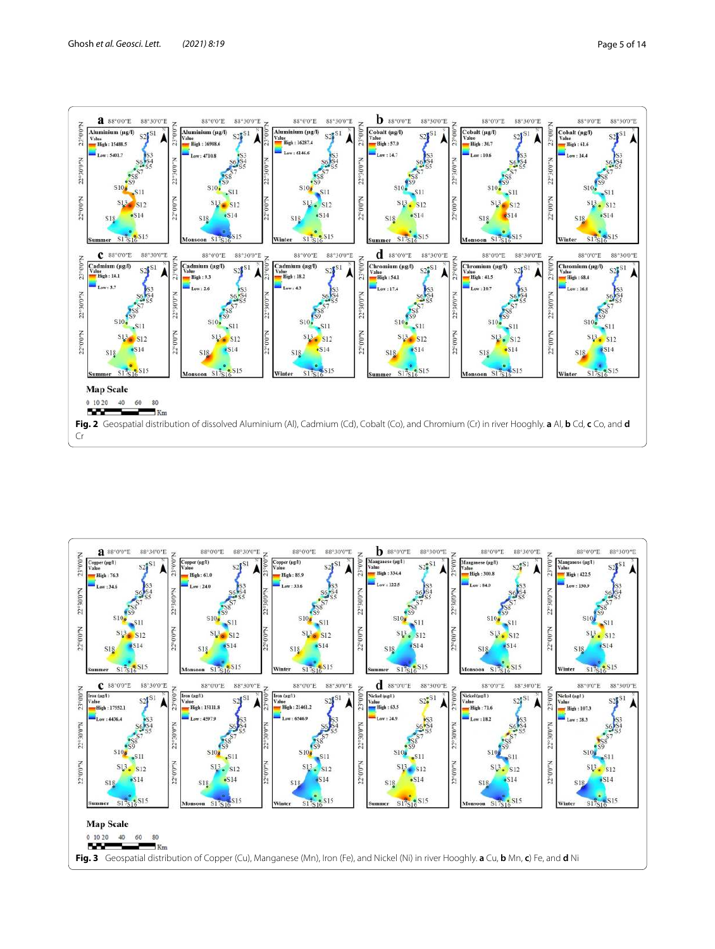

<span id="page-4-1"></span><span id="page-4-0"></span>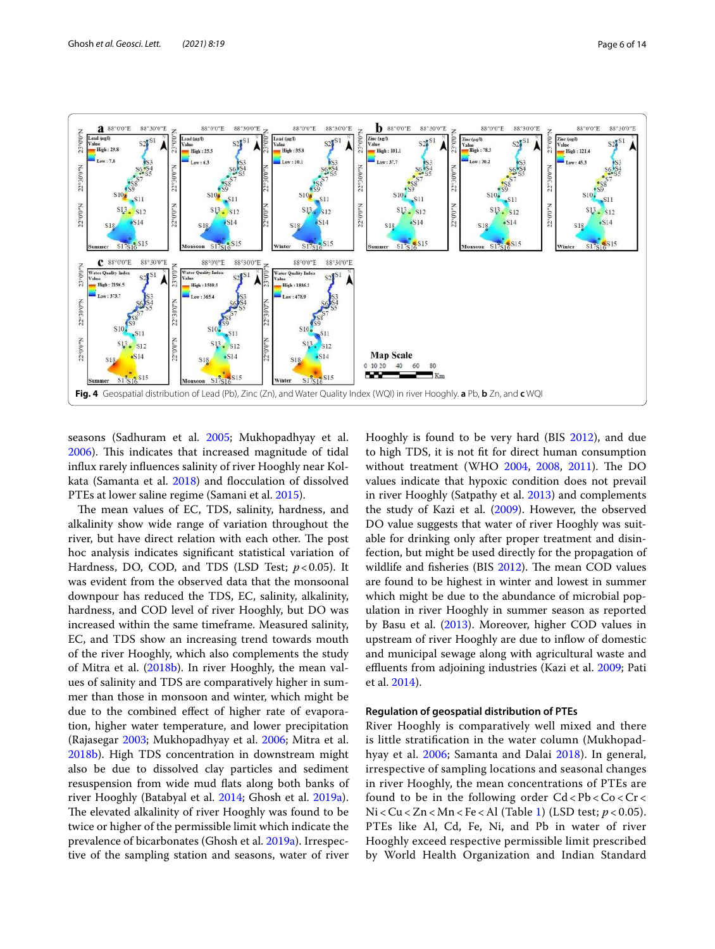

<span id="page-5-0"></span>seasons (Sadhuram et al. [2005](#page-12-22); Mukhopadhyay et al. [2006](#page-12-12)). This indicates that increased magnitude of tidal influx rarely influences salinity of river Hooghly near Kolkata (Samanta et al. [2018\)](#page-13-24) and flocculation of dissolved PTEs at lower saline regime (Samani et al. [2015](#page-13-23)).

The mean values of EC, TDS, salinity, hardness, and alkalinity show wide range of variation throughout the river, but have direct relation with each other. The post hoc analysis indicates significant statistical variation of Hardness, DO, COD, and TDS (LSD Test;  $p < 0.05$ ). It was evident from the observed data that the monsoonal downpour has reduced the TDS, EC, salinity, alkalinity, hardness, and COD level of river Hooghly, but DO was increased within the same timeframe. Measured salinity, EC, and TDS show an increasing trend towards mouth of the river Hooghly, which also complements the study of Mitra et al. ([2018b\)](#page-12-16). In river Hooghly, the mean values of salinity and TDS are comparatively higher in summer than those in monsoon and winter, which might be due to the combined effect of higher rate of evaporation, higher water temperature, and lower precipitation (Rajasegar [2003;](#page-12-23) Mukhopadhyay et al. [2006;](#page-12-12) Mitra et al. [2018b\)](#page-12-16). High TDS concentration in downstream might also be due to dissolved clay particles and sediment resuspension from wide mud flats along both banks of river Hooghly (Batabyal et al. [2014;](#page-11-13) Ghosh et al. [2019a](#page-12-24)). The elevated alkalinity of river Hooghly was found to be twice or higher of the permissible limit which indicate the prevalence of bicarbonates (Ghosh et al. [2019a\)](#page-12-24). Irrespective of the sampling station and seasons, water of river Hooghly is found to be very hard (BIS [2012\)](#page-11-12), and due to high TDS, it is not fit for direct human consumption without treatment (WHO [2004,](#page-13-25) [2008,](#page-13-21) [2011](#page-13-22)). The DO values indicate that hypoxic condition does not prevail in river Hooghly (Satpathy et al. [2013](#page-13-26)) and complements the study of Kazi et al. ([2009\)](#page-12-25). However, the observed DO value suggests that water of river Hooghly was suitable for drinking only after proper treatment and disinfection, but might be used directly for the propagation of wildlife and fisheries (BIS [2012](#page-11-12)). The mean COD values are found to be highest in winter and lowest in summer which might be due to the abundance of microbial population in river Hooghly in summer season as reported by Basu et al. [\(2013\)](#page-11-14). Moreover, higher COD values in upstream of river Hooghly are due to inflow of domestic and municipal sewage along with agricultural waste and effluents from adjoining industries (Kazi et al. [2009;](#page-12-25) Pati et al. [2014](#page-12-26)).

## **Regulation of geospatial distribution of PTEs**

River Hooghly is comparatively well mixed and there is little stratification in the water column (Mukhopadhyay et al. [2006;](#page-12-12) Samanta and Dalai [2018\)](#page-13-27). In general, irrespective of sampling locations and seasonal changes in river Hooghly, the mean concentrations of PTEs are found to be in the following order Cd < Pb < Co < Cr < Ni < Cu < Zn < Mn < Fe < Al (Table [1](#page-6-0)) (LSD test;  $p$  < 0.05). PTEs like Al, Cd, Fe, Ni, and Pb in water of river Hooghly exceed respective permissible limit prescribed by World Health Organization and Indian Standard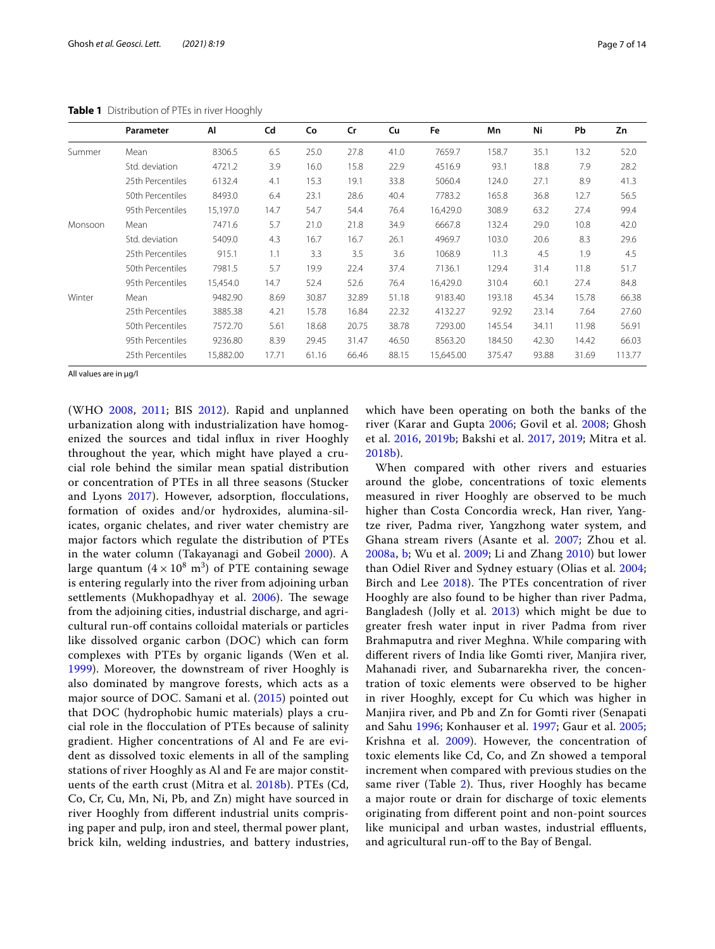|         | Parameter        | Al        | Cd    | Co    | Cr    | Cu    | Fe        | Mn     | Ni    | Pb    | Zn     |
|---------|------------------|-----------|-------|-------|-------|-------|-----------|--------|-------|-------|--------|
| Summer  | Mean             | 8306.5    | 6.5   | 25.0  | 27.8  | 41.0  | 7659.7    | 158.7  | 35.1  | 13.2  | 52.0   |
|         | Std. deviation   | 4721.2    | 3.9   | 16.0  | 15.8  | 22.9  | 4516.9    | 93.1   | 18.8  | 7.9   | 28.2   |
|         | 25th Percentiles | 6132.4    | 4.1   | 15.3  | 19.1  | 33.8  | 5060.4    | 124.0  | 27.1  | 8.9   | 41.3   |
|         | 50th Percentiles | 8493.0    | 6.4   | 23.1  | 28.6  | 40.4  | 7783.2    | 165.8  | 36.8  | 12.7  | 56.5   |
|         | 95th Percentiles | 15,197.0  | 14.7  | 54.7  | 54.4  | 76.4  | 16,429.0  | 308.9  | 63.2  | 27.4  | 99.4   |
| Monsoon | Mean             | 7471.6    | 5.7   | 21.0  | 21.8  | 34.9  | 6667.8    | 132.4  | 29.0  | 10.8  | 42.0   |
|         | Std. deviation   | 5409.0    | 4.3   | 16.7  | 16.7  | 26.1  | 4969.7    | 103.0  | 20.6  | 8.3   | 29.6   |
|         | 25th Percentiles | 915.1     | 1.1   | 3.3   | 3.5   | 3.6   | 1068.9    | 11.3   | 4.5   | 1.9   | 4.5    |
|         | 50th Percentiles | 7981.5    | 5.7   | 19.9  | 22.4  | 37.4  | 7136.1    | 129.4  | 31.4  | 11.8  | 51.7   |
|         | 95th Percentiles | 15,454.0  | 14.7  | 52.4  | 52.6  | 76.4  | 16,429.0  | 310.4  | 60.1  | 27.4  | 84.8   |
| Winter  | Mean             | 9482.90   | 8.69  | 30.87 | 32.89 | 51.18 | 9183.40   | 193.18 | 45.34 | 15.78 | 66.38  |
|         | 25th Percentiles | 3885.38   | 4.21  | 15.78 | 16.84 | 22.32 | 4132.27   | 92.92  | 23.14 | 7.64  | 27.60  |
|         | 50th Percentiles | 7572.70   | 5.61  | 18.68 | 20.75 | 38.78 | 7293.00   | 145.54 | 34.11 | 11.98 | 56.91  |
|         | 95th Percentiles | 9236.80   | 8.39  | 29.45 | 31.47 | 46.50 | 8563.20   | 184.50 | 42.30 | 14.42 | 66.03  |
|         | 25th Percentiles | 15,882.00 | 17.71 | 61.16 | 66.46 | 88.15 | 15,645.00 | 375.47 | 93.88 | 31.69 | 113.77 |

<span id="page-6-0"></span>**Table 1** Distribution of PTEs in river Hooghly

All values are in µg/l

(WHO [2008](#page-13-21), [2011;](#page-13-22) BIS [2012](#page-11-12)). Rapid and unplanned urbanization along with industrialization have homogenized the sources and tidal influx in river Hooghly throughout the year, which might have played a crucial role behind the similar mean spatial distribution or concentration of PTEs in all three seasons (Stucker and Lyons [2017\)](#page-13-28). However, adsorption, flocculations, formation of oxides and/or hydroxides, alumina-silicates, organic chelates, and river water chemistry are major factors which regulate the distribution of PTEs in the water column (Takayanagi and Gobeil [2000](#page-13-29)). A large quantum  $(4 \times 10^8 \text{ m}^3)$  of PTE containing sewage is entering regularly into the river from adjoining urban settlements (Mukhopadhyay et al. [2006](#page-12-12)). The sewage from the adjoining cities, industrial discharge, and agricultural run-off contains colloidal materials or particles like dissolved organic carbon (DOC) which can form complexes with PTEs by organic ligands (Wen et al. [1999\)](#page-13-30). Moreover, the downstream of river Hooghly is also dominated by mangrove forests, which acts as a major source of DOC. Samani et al. ([2015\)](#page-13-23) pointed out that DOC (hydrophobic humic materials) plays a crucial role in the flocculation of PTEs because of salinity gradient. Higher concentrations of Al and Fe are evident as dissolved toxic elements in all of the sampling stations of river Hooghly as Al and Fe are major constituents of the earth crust (Mitra et al. [2018b\)](#page-12-16). PTEs (Cd, Co, Cr, Cu, Mn, Ni, Pb, and Zn) might have sourced in river Hooghly from different industrial units comprising paper and pulp, iron and steel, thermal power plant, brick kiln, welding industries, and battery industries,

which have been operating on both the banks of the river (Karar and Gupta [2006;](#page-12-27) Govil et al. [2008](#page-12-28); Ghosh et al. [2016,](#page-12-1) [2019b;](#page-12-29) Bakshi et al. [2017](#page-11-15), [2019;](#page-11-16) Mitra et al. [2018b](#page-12-16)).

When compared with other rivers and estuaries around the globe, concentrations of toxic elements measured in river Hooghly are observed to be much higher than Costa Concordia wreck, Han river, Yangtze river, Padma river, Yangzhong water system, and Ghana stream rivers (Asante et al. [2007](#page-11-17); Zhou et al. [2008a,](#page-13-0) [b](#page-13-1); Wu et al. [2009;](#page-13-16) Li and Zhang [2010](#page-12-11)) but lower than Odiel River and Sydney estuary (Olias et al. [2004](#page-12-30); Birch and Lee [2018](#page-11-18)). The PTEs concentration of river Hooghly are also found to be higher than river Padma, Bangladesh (Jolly et al. [2013\)](#page-12-31) which might be due to greater fresh water input in river Padma from river Brahmaputra and river Meghna. While comparing with different rivers of India like Gomti river, Manjira river, Mahanadi river, and Subarnarekha river, the concentration of toxic elements were observed to be higher in river Hooghly, except for Cu which was higher in Manjira river, and Pb and Zn for Gomti river (Senapati and Sahu [1996;](#page-13-31) Konhauser et al. [1997;](#page-12-32) Gaur et al. [2005](#page-12-33); Krishna et al. [2009\)](#page-12-34). However, the concentration of toxic elements like Cd, Co, and Zn showed a temporal increment when compared with previous studies on the same river (Table [2\)](#page-7-0). Thus, river Hooghly has became a major route or drain for discharge of toxic elements originating from different point and non-point sources like municipal and urban wastes, industrial effluents, and agricultural run-off to the Bay of Bengal.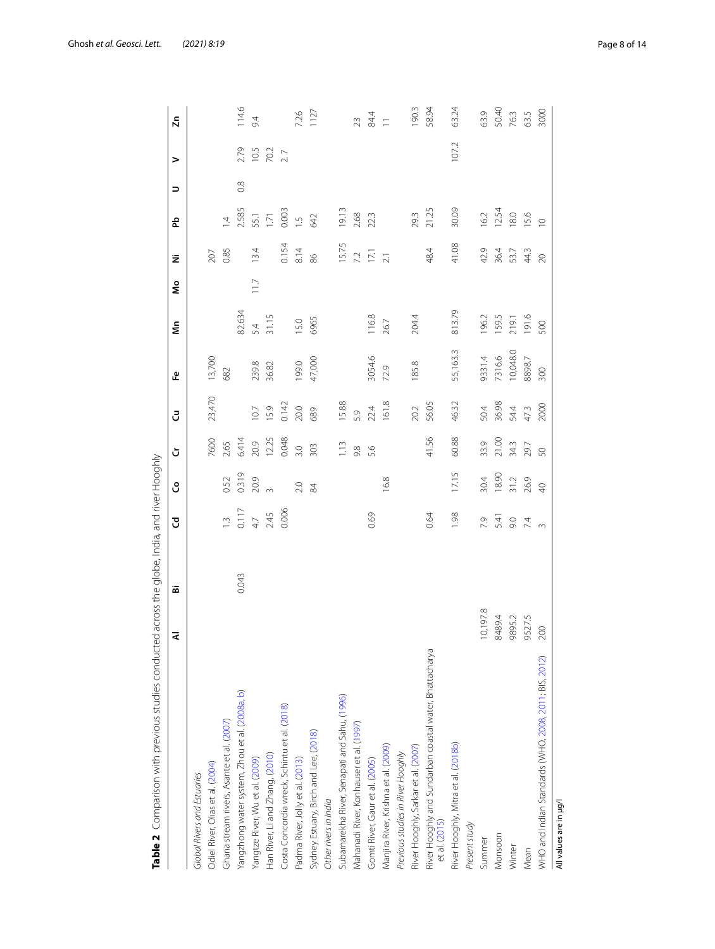| Table 2 Comparison with previous studies conducted across the globe, India, and river Hooghly |          |       |                                    |                          |               |                               |          |        |   |                             |                      |               |                             |          |
|-----------------------------------------------------------------------------------------------|----------|-------|------------------------------------|--------------------------|---------------|-------------------------------|----------|--------|---|-----------------------------|----------------------|---------------|-----------------------------|----------|
|                                                                                               | ₹        | జ     | उ                                  | ვ                        | ن             | උ                             | ى<br>سا  | ξ      | å | ž                           | 운                    | っ             | >                           | Σñ       |
| Global Rivers and Estuaries                                                                   |          |       |                                    |                          |               |                               |          |        |   |                             |                      |               |                             |          |
| Odiel River, Olias et al. (2004)                                                              |          |       |                                    |                          | 7600          | 23,470                        | 13,700   |        |   | 207                         |                      |               |                             |          |
| Ghana stream rivers, Asante et al. (2007)                                                     |          |       |                                    |                          | 2.65          |                               | 682      |        |   | 0.85                        | $\overline{4}$       |               |                             |          |
| Yangzhong water system, Zhou et al. (2008a, b)                                                |          | 0.043 |                                    | 0.52<br>0.319            | 6.414         |                               |          | 82.634 |   |                             | 2.585                | $\frac{8}{2}$ |                             | 114.6    |
| fangtze River, Wu et al. (2009)                                                               |          |       |                                    | 20.9                     |               |                               | 239.8    | 5.4    |   | 13.4                        |                      |               |                             | 64       |
| Han River, Li and Zhang, (2010)                                                               |          |       | $\frac{1.3}{0.117}$<br>4.7<br>2.45 | $\sim$                   | 20.9<br>12.25 | $10.7$<br>15.9                | 36.82    | 31.15  |   |                             | 55.1                 |               | 2.79<br>10.5<br>70.2<br>2.7 |          |
| Costa Concordia wreck, Schintu et al. (2018)                                                  |          |       | 0.006                              |                          | 0.048         | 0.142                         |          |        |   | 0.154                       |                      |               |                             |          |
| Padma River, Jolly et al. (2013)                                                              |          |       |                                    | 2.0                      | 3.0           | 20.0                          | 199.0    | 15.0   |   | $\frac{4}{8}$               | $0.003$<br>1.5 $642$ |               |                             | 7.26     |
| Sydney Estuary, Birch and Lee, (2018)                                                         |          |       |                                    | 84                       | 303           | 689                           | 47,000   | 6965   |   | 86                          |                      |               |                             | 1127     |
| Other rivers in India                                                                         |          |       |                                    |                          |               |                               |          |        |   |                             |                      |               |                             |          |
| Subarnarekha River, Senapati and Sahu, (1996)                                                 |          |       |                                    |                          | 1.13          |                               |          |        |   |                             | 19.13                |               |                             |          |
| Mahanadi River, Konhauser et al. (1997)                                                       |          |       |                                    |                          | 9.8           | 15.88<br>5.9<br>22.4<br>161.8 |          |        |   | $\frac{15.75}{7.2}$<br>17.1 | 2.68<br>22.3         |               |                             | 23       |
| Gomti River, Gaur et al. (2005)                                                               |          |       | 0.69                               |                          | 5.6           |                               | 3054.6   | 116.8  |   |                             |                      |               |                             | 84.4     |
| Manjira River, Krishna et al. (2009)                                                          |          |       |                                    | 16.8                     |               |                               | 72.9     | 26.7   |   |                             |                      |               |                             | $\equiv$ |
| Previous studies in River Hooghly                                                             |          |       |                                    |                          |               |                               |          |        |   |                             |                      |               |                             |          |
| River Hooghly, Sarkar et al. (2007)                                                           |          |       |                                    |                          |               |                               | 185.8    | 204.4  |   |                             |                      |               |                             | 190.3    |
| River Hooghly and Sundarban coastal water, Bhattacharya<br>et al. (2015)                      |          |       | 0.64                               |                          | 41.56         | 20.2<br>56.05                 |          |        |   | 48.4                        | 29.3<br>21.25        |               |                             | 58.94    |
| River Hooghly, Mitra et al. (2018b)                                                           |          |       | 1.98                               | 17.15                    | 60.88         | 46.32                         | 55,163.3 | 813.79 |   | 41.08                       | 30.09                |               | 107.2                       | 63.24    |
| Present study                                                                                 |          |       |                                    |                          |               |                               |          |        |   |                             |                      |               |                             |          |
| Summer                                                                                        | 10,197.8 |       |                                    |                          |               |                               | 9331.4   | 196.2  |   | 42.9                        | 16.2                 |               |                             | 63.9     |
| Monsoon                                                                                       | 8489.4   |       | 79.41                              | 30.4<br>18.90            | 33.9<br>21.00 | 50.4<br>36.98                 | 7316.6   | 159.5  |   | 36.4                        | 12.54                |               |                             | 50.40    |
| Winter                                                                                        | 9895.2   |       | 0.74                               | $31.2$<br>$26.9$<br>$40$ | 34.3<br>29.7  |                               | 10,048.0 |        |   | 53.7                        | 18.0                 |               |                             | 76.3     |
| Mean                                                                                          | 9527.5   |       |                                    |                          |               | 54.4<br>47.3                  | 8898.7   | 191.6  |   | 44.3                        | 15.6                 |               |                             | 63.5     |
| WHO and Indian Standards (WHO, 2008, 2011; BIS, 2012)                                         | 200      |       | $\infty$                           |                          | 50            | 2000                          | 300      | 500    |   | $\infty$                    | $\supseteq$          |               |                             | 3000     |
| All values are in µg/l                                                                        |          |       |                                    |                          |               |                               |          |        |   |                             |                      |               |                             |          |

<span id="page-7-0"></span>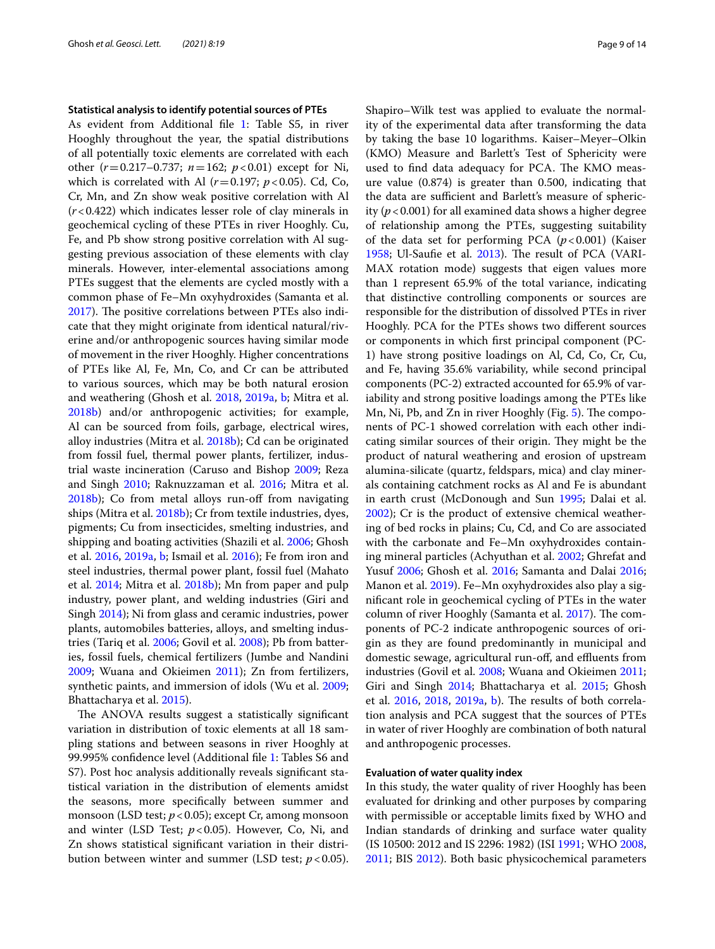#### **Statistical analysis to identify potential sources of PTEs**

As evident from Additional file [1](#page-11-11): Table S5, in river Hooghly throughout the year, the spatial distributions of all potentially toxic elements are correlated with each other  $(r= 0.217-0.737; n=162; p<0.01)$  except for Ni, which is correlated with Al ( $r = 0.197$ ;  $p < 0.05$ ). Cd, Co, Cr, Mn, and Zn show weak positive correlation with Al  $(r<0.422)$  which indicates lesser role of clay minerals in geochemical cycling of these PTEs in river Hooghly. Cu, Fe, and Pb show strong positive correlation with Al suggesting previous association of these elements with clay minerals. However, inter-elemental associations among PTEs suggest that the elements are cycled mostly with a common phase of Fe–Mn oxyhydroxides (Samanta et al. [2017](#page-13-33)). The positive correlations between PTEs also indicate that they might originate from identical natural/riverine and/or anthropogenic sources having similar mode of movement in the river Hooghly. Higher concentrations of PTEs like Al, Fe, Mn, Co, and Cr can be attributed to various sources, which may be both natural erosion and weathering (Ghosh et al. [2018](#page-12-35), [2019a,](#page-12-24) [b](#page-12-29); Mitra et al. [2018b\)](#page-12-16) and/or anthropogenic activities; for example, Al can be sourced from foils, garbage, electrical wires, alloy industries (Mitra et al. [2018b](#page-12-16)); Cd can be originated from fossil fuel, thermal power plants, fertilizer, industrial waste incineration (Caruso and Bishop [2009](#page-11-19); Reza and Singh [2010;](#page-12-36) Raknuzzaman et al. [2016](#page-12-37); Mitra et al. [2018b\)](#page-12-16); Co from metal alloys run-off from navigating ships (Mitra et al. [2018b\)](#page-12-16); Cr from textile industries, dyes, pigments; Cu from insecticides, smelting industries, and shipping and boating activities (Shazili et al. [2006;](#page-13-34) Ghosh et al. [2016,](#page-12-1) [2019a](#page-12-24), [b](#page-12-29); Ismail et al. [2016\)](#page-12-38); Fe from iron and steel industries, thermal power plant, fossil fuel (Mahato et al. [2014](#page-12-39); Mitra et al. [2018b\)](#page-12-16); Mn from paper and pulp industry, power plant, and welding industries (Giri and Singh [2014](#page-12-40)); Ni from glass and ceramic industries, power plants, automobiles batteries, alloys, and smelting industries (Tariq et al. [2006](#page-13-35); Govil et al. [2008\)](#page-12-28); Pb from batteries, fossil fuels, chemical fertilizers (Jumbe and Nandini [2009](#page-12-41); Wuana and Okieimen [2011\)](#page-13-36); Zn from fertilizers, synthetic paints, and immersion of idols (Wu et al. [2009](#page-13-16); Bhattacharya et al. [2015](#page-11-1)).

The ANOVA results suggest a statistically significant variation in distribution of toxic elements at all 18 sampling stations and between seasons in river Hooghly at 99.995% confidence level (Additional file [1:](#page-11-11) Tables S6 and S7). Post hoc analysis additionally reveals significant statistical variation in the distribution of elements amidst the seasons, more specifically between summer and monsoon (LSD test;  $p < 0.05$ ); except Cr, among monsoon and winter (LSD Test;  $p < 0.05$ ). However, Co, Ni, and Zn shows statistical significant variation in their distribution between winter and summer (LSD test;  $p < 0.05$ ).

Shapiro–Wilk test was applied to evaluate the normality of the experimental data after transforming the data by taking the base 10 logarithms. Kaiser–Meyer–Olkin (KMO) Measure and Barlett's Test of Sphericity were used to find data adequacy for PCA. The KMO measure value (0.874) is greater than 0.500, indicating that the data are sufficient and Barlett's measure of sphericity ( $p < 0.001$ ) for all examined data shows a higher degree of relationship among the PTEs, suggesting suitability of the data set for performing PCA  $(p<0.001)$  (Kaiser [1958](#page-12-18); Ul-Saufie et al. [2013](#page-13-10)). The result of PCA (VARI-MAX rotation mode) suggests that eigen values more than 1 represent 65.9% of the total variance, indicating that distinctive controlling components or sources are responsible for the distribution of dissolved PTEs in river Hooghly. PCA for the PTEs shows two different sources or components in which first principal component (PC-1) have strong positive loadings on Al, Cd, Co, Cr, Cu, and Fe, having 35.6% variability, while second principal components (PC-2) extracted accounted for 65.9% of variability and strong positive loadings among the PTEs like Mn, Ni, Pb, and Zn in river Hooghly (Fig. [5](#page-9-0)). The components of PC-1 showed correlation with each other indicating similar sources of their origin. They might be the product of natural weathering and erosion of upstream alumina-silicate (quartz, feldspars, mica) and clay minerals containing catchment rocks as Al and Fe is abundant in earth crust (McDonough and Sun [1995;](#page-12-42) Dalai et al. [2002](#page-11-20)); Cr is the product of extensive chemical weathering of bed rocks in plains; Cu, Cd, and Co are associated with the carbonate and Fe–Mn oxyhydroxides containing mineral particles (Achyuthan et al. [2002](#page-11-21); Ghrefat and Yusuf [2006;](#page-12-43) Ghosh et al. [2016](#page-12-1); Samanta and Dalai [2016](#page-13-37); Manon et al. [2019](#page-12-44)). Fe–Mn oxyhydroxides also play a significant role in geochemical cycling of PTEs in the water column of river Hooghly (Samanta et al. [2017](#page-13-33)). The components of PC-2 indicate anthropogenic sources of origin as they are found predominantly in municipal and domestic sewage, agricultural run-off, and effluents from industries (Govil et al. [2008;](#page-12-28) Wuana and Okieimen [2011](#page-13-36); Giri and Singh [2014](#page-12-40); Bhattacharya et al. [2015;](#page-11-1) Ghosh et al. [2016](#page-12-1), [2018,](#page-12-35) [2019a,](#page-12-24) [b](#page-12-29)). The results of both correlation analysis and PCA suggest that the sources of PTEs in water of river Hooghly are combination of both natural and anthropogenic processes.

#### **Evaluation of water quality index**

In this study, the water quality of river Hooghly has been evaluated for drinking and other purposes by comparing with permissible or acceptable limits fixed by WHO and Indian standards of drinking and surface water quality (IS 10500: 2012 and IS 2296: 1982) (ISI [1991](#page-12-45); WHO [2008](#page-13-22), [2011](#page-13-22); BIS [2012\)](#page-11-12). Both basic physicochemical parameters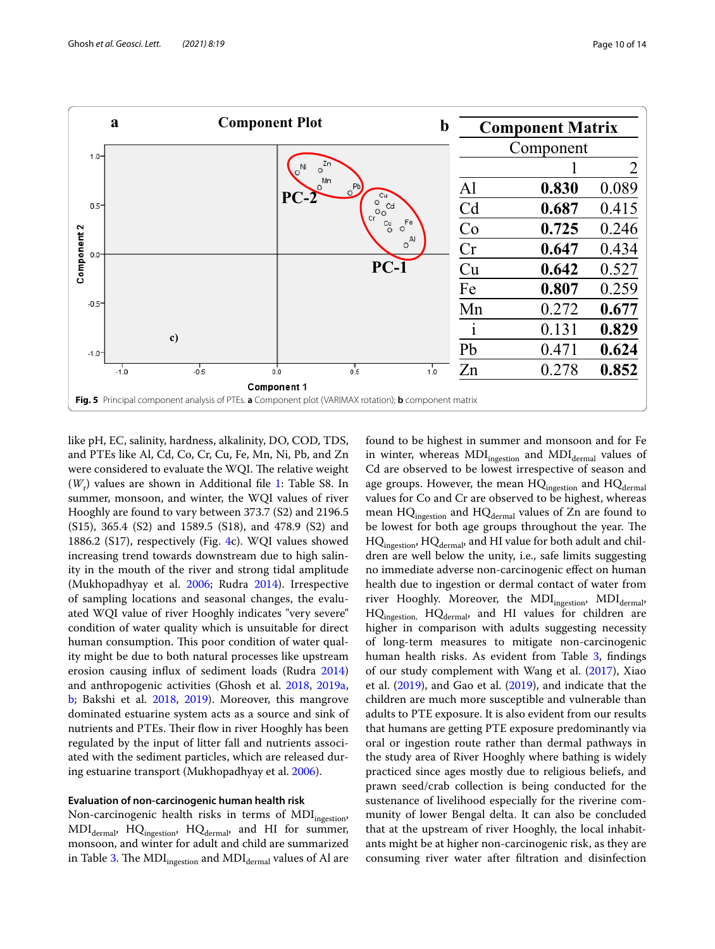|                        | $\mathbf a$ |        | <b>Component Plot</b> | $\mathbf b$                                                                                          |     | <b>Component Matrix</b> |           |       |
|------------------------|-------------|--------|-----------------------|------------------------------------------------------------------------------------------------------|-----|-------------------------|-----------|-------|
| $1.0 -$                |             |        |                       |                                                                                                      |     |                         | Component |       |
|                        |             |        |                       | Zn                                                                                                   |     |                         |           | 2     |
|                        |             |        | $PC-2$                | Mn<br>Pb<br>$\circ$<br>Cu                                                                            |     | Al                      | 0.830     | 0.089 |
| $0.5 -$                |             |        |                       | o<br>Cd<br>$\circ$<br>Cr                                                                             |     | Cd                      | 0.687     | 0.415 |
|                        |             |        |                       | Fe<br>$^{c_0}_{\circ}$<br>$\circ$<br>A                                                               |     | Co                      | 0.725     | 0.246 |
| Component 2<br>$0.0 -$ |             |        |                       | $\circ$                                                                                              |     | Cr                      | 0.647     | 0.434 |
|                        |             |        |                       | $PC-1$                                                                                               |     | Cu                      | 0.642     | 0.527 |
|                        |             |        |                       |                                                                                                      |     | Fe                      | 0.807     | 0.259 |
| $-0.5-$                |             |        |                       |                                                                                                      |     | Mn                      | 0.272     | 0.677 |
|                        |             | c)     |                       |                                                                                                      |     |                         | 0.131     | 0.829 |
| $-1.0$                 |             |        |                       |                                                                                                      |     | Pb                      | 0.471     | 0.624 |
|                        | $-1.0$      | $-0.5$ | 0.0                   | 0.5                                                                                                  | 1.0 | Zn                      | 0.278     | 0.852 |
|                        |             |        | Component 1           | Fig. 5 Principal component analysis of PTEs. a Component plot (VARIMAX rotation); b component matrix |     |                         |           |       |

<span id="page-9-0"></span>like pH, EC, salinity, hardness, alkalinity, DO, COD, TDS, and PTEs like Al, Cd, Co, Cr, Cu, Fe, Mn, Ni, Pb, and Zn were considered to evaluate the WQI. The relative weight  $(W_r)$  values are shown in Additional file [1](#page-11-11): Table S8. In summer, monsoon, and winter, the WQI values of river Hooghly are found to vary between 373.7 (S2) and 2196.5 (S15), 365.4 (S2) and 1589.5 (S18), and 478.9 (S2) and 1886.2 (S17), respectively (Fig. [4c](#page-5-0)). WQI values showed increasing trend towards downstream due to high salinity in the mouth of the river and strong tidal amplitude (Mukhopadhyay et al. [2006](#page-12-12); Rudra [2014\)](#page-12-17). Irrespective of sampling locations and seasonal changes, the evaluated WQI value of river Hooghly indicates "very severe" condition of water quality which is unsuitable for direct human consumption. This poor condition of water quality might be due to both natural processes like upstream erosion causing influx of sediment loads (Rudra [2014](#page-12-17)) and anthropogenic activities (Ghosh et al. [2018,](#page-12-35) [2019a](#page-12-24), [b;](#page-12-29) Bakshi et al. [2018,](#page-11-22) [2019](#page-11-16)). Moreover, this mangrove dominated estuarine system acts as a source and sink of nutrients and PTEs. Their flow in river Hooghly has been regulated by the input of litter fall and nutrients associated with the sediment particles, which are released during estuarine transport (Mukhopadhyay et al. [2006\)](#page-12-12).

#### **Evaluation of non‑carcinogenic human health risk**

Non-carcinogenic health risks in terms of  $MDI_{ingestion}$ , MDI<sub>dermal</sub>, HQ<sub>ingestion</sub>, HQ<sub>dermal</sub>, and HI for summer, monsoon, and winter for adult and child are summarized in Table [3.](#page-10-0) The  $MDI_{ingestion}$  and  $MDI_{dermal}$  values of Al are

found to be highest in summer and monsoon and for Fe in winter, whereas  $MDI_{integration}$  and  $MDI_{terminal}$  values of Cd are observed to be lowest irrespective of season and age groups. However, the mean  $HQ_{\text{ingestion}}$  and  $HQ_{\text{dermal}}$ values for Co and Cr are observed to be highest, whereas mean  $HQ_{\text{ingestion}}$  and  $HQ_{\text{dermal}}$  values of Zn are found to be lowest for both age groups throughout the year. The HQ<sub>ingestion</sub>, HQ<sub>dermal</sub>, and HI value for both adult and children are well below the unity, i.e., safe limits suggesting no immediate adverse non-carcinogenic effect on human health due to ingestion or dermal contact of water from river Hooghly. Moreover, the  $\text{MDI}_{\text{ingestion}}, \;\text{MDI}_{\text{dermal}},$ HQ<sub>ingestion,</sub> HQ<sub>dermal</sub>, and HI values for children are higher in comparison with adults suggesting necessity of long-term measures to mitigate non-carcinogenic human health risks. As evident from Table [3](#page-10-0), findings of our study complement with Wang et al. ([2017\)](#page-13-38), Xiao et al. [\(2019\)](#page-13-39), and Gao et al. [\(2019\)](#page-11-8), and indicate that the children are much more susceptible and vulnerable than adults to PTE exposure. It is also evident from our results that humans are getting PTE exposure predominantly via oral or ingestion route rather than dermal pathways in the study area of River Hooghly where bathing is widely practiced since ages mostly due to religious beliefs, and prawn seed/crab collection is being conducted for the sustenance of livelihood especially for the riverine community of lower Bengal delta. It can also be concluded that at the upstream of river Hooghly, the local inhabitants might be at higher non-carcinogenic risk, as they are consuming river water after filtration and disinfection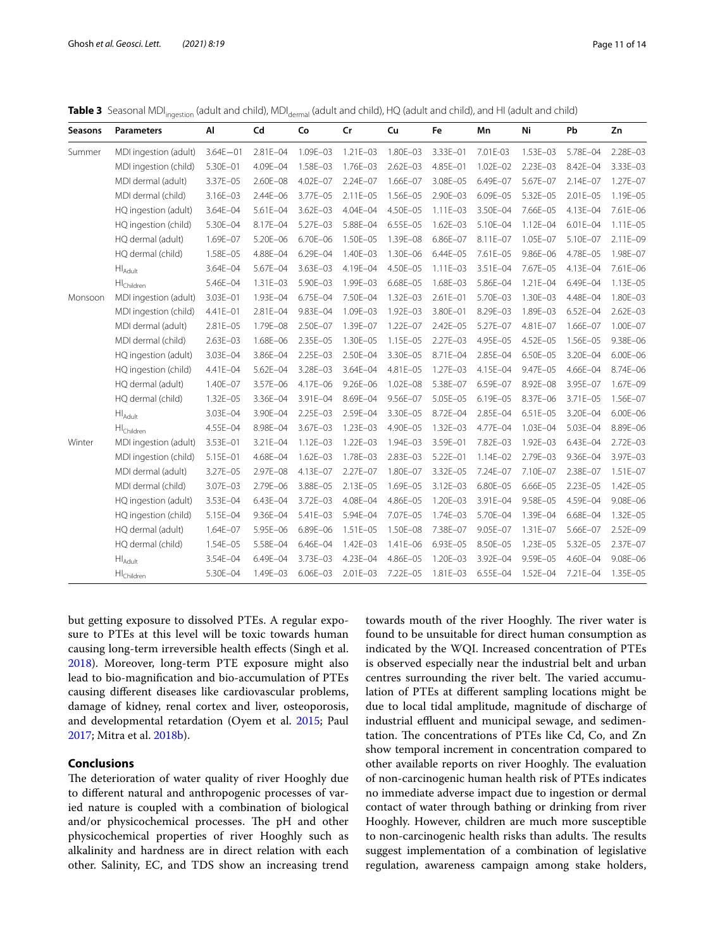<span id="page-10-0"></span>**Table 3** Seasonal MDI<sub>ingestion</sub> (adult and child), MDI<sub>dermal</sub> (adult and child), HQ (adult and child), and HI (adult and child)

| Seasons | <b>Parameters</b>               | Al           | Cd           | Co           | Cr           | Cu           | Fe           | Mn           | Ni           | Pb           | Zn           |
|---------|---------------------------------|--------------|--------------|--------------|--------------|--------------|--------------|--------------|--------------|--------------|--------------|
| Summer  | MDI ingestion (adult)           | $3.64E - 01$ | 2.81E-04     | 1.09E-03     | $1.21E - 03$ | 1.80E-03     | 3.33E-01     | 7.01E-03     | 1.53E-03     | 5.78E-04     | $2.28E - 03$ |
|         | MDI ingestion (child)           | 5.30E-01     | 4.09E-04     | 1.58E-03     | 1.76E-03     | $2.62E - 03$ | 4.85E-01     | $1.02E - 02$ | 2.23E-03     | 8.42E-04     | 3.33E-03     |
|         | MDI dermal (adult)              | 3.37E-05     | 2.60E-08     | 4.02E-07     | 2.24E-07     | 1.66E-07     | 3.08E-05     | 6.49E-07     | 5.67E-07     | 2.14E-07     | $1.27E - 07$ |
|         | MDI dermal (child)              | 3.16E-03     | 2.44E-06     | 3.77E-05     | $2.11E - 05$ | 1.56E-05     | 2.90E-03     | 6.09E-05     | 5.32E-05     | 2.01E-05     | 1.19E-05     |
|         | HQ ingestion (adult)            | 3.64E-04     | 5.61E-04     | $3.62E - 03$ | 4.04E-04     | 4.50E-05     | $1.11E - 03$ | 3.50E-04     | 7.66E-05     | 4.13E-04     | 7.61E-06     |
|         | HQ ingestion (child)            | 5.30E-04     | 8.17E-04     | 5.27E-03     | 5.88E-04     | 6.55E-05     | $1.62E - 03$ | 5.10E-04     | $1.12E - 04$ | $6.01E - 04$ | $1.11E - 05$ |
|         | HQ dermal (adult)               | 1.69E-07     | 5.20E-06     | 6.70E-06     | 1.50E-05     | 1.39E-08     | $6.86E - 07$ | 8.11E-07     | 1.05E-07     | 5.10E-07     | $2.11E - 09$ |
|         | HQ dermal (child)               | 1.58E-05     | 4.88E-04     | $6.29E - 04$ | 1.40E-03     | 1.30E-06     | $6.44E - 05$ | 7.61E-05     | 9.86E-06     | 4.78E-05     | 1.98E-07     |
|         | $\mathsf{HI}_{\mathsf{Adult}}$  | 3.64E-04     | 5.67E-04     | $3.63E - 03$ | 4.19E-04     | 4.50E-05     | $1.11E - 03$ | 3.51E-04     | 7.67E-05     | 4.13E-04     | 7.61E-06     |
|         | HI <sub>Children</sub>          | 5.46E-04     | $1.31E - 03$ | 5.90E-03     | 1.99E-03     | 6.68E-05     | 1.68E-03     | 5.86E-04     | $1.21E - 04$ | 6.49E-04     | 1.13E-05     |
| Monsoon | MDI ingestion (adult)           | 3.03E-01     | 1.93E-04     | 6.75E-04     | 7.50E-04     | $1.32E - 03$ | $2.61E - 01$ | 5.70E-03     | 1.30E-03     | 4.48E-04     | 1.80E-03     |
|         | MDI ingestion (child)           | 4.41E-01     | 2.81E-04     | 9.83E-04     | 1.09E-03     | 1.92E-03     | 3.80E-01     | 8.29E-03     | 1.89E-03     | $6.52E - 04$ | $2.62E - 03$ |
|         | MDI dermal (adult)              | 2.81E-05     | 1.79E-08     | 2.50E-07     | 1.39E-07     | $1.22E - 07$ | 2.42E-05     | 5.27E-07     | 4.81E-07     | 1.66E-07     | 1.00E-07     |
|         | MDI dermal (child)              | $2.63E - 03$ | 1.68E-06     | 2.35E-05     | 1.30E-05     | 1.15E-05     | 2.27E-03     | 4.95E-05     | 4.52E-05     | 1.56E-05     | 9.38E-06     |
|         | HQ ingestion (adult)            | 3.03E-04     | 3.86E-04     | $2.25E - 03$ | 2.50E-04     | 3.30E-05     | 8.71E-04     | 2.85E-04     | 6.50E-05     | 3.20E-04     | $6.00E - 06$ |
|         | HQ ingestion (child)            | 4.41E-04     | 5.62E-04     | 3.28E-03     | 3.64E-04     | 4.81E-05     | 1.27E-03     | 4.15E-04     | 9.47E-05     | 4.66E-04     | 8.74E-06     |
|         | HQ dermal (adult)               | 1.40E-07     | 3.57E-06     | 4.17E-06     | 9.26E-06     | $1.02E - 08$ | 5.38E-07     | 6.59E-07     | 8.92E-08     | 3.95E-07     | 1.67E-09     |
|         | HQ dermal (child)               | 1.32E-05     | 3.36E-04     | 3.91E-04     | 8.69E-04     | 9.56E-07     | 5.05E-05     | 6.19E-05     | 8.37E-06     | 3.71E-05     | 1.56E-07     |
|         | $\mathsf{HI}_{\mathsf{Adult}}$  | 3.03E-04     | 3.90E-04     | 2.25E-03     | 2.59E-04     | 3.30E-05     | 8.72E-04     | 2.85E-04     | 6.51E-05     | 3.20E-04     | 6.00E-06     |
|         | $\mathsf{HI}_\mathsf{Children}$ | 4.55E-04     | 8.98E-04     | 3.67E-03     | 1.23E-03     | 4.90E-05     | 1.32E-03     | 4.77E-04     | 1.03E-04     | 5.03E-04     | 8.89E-06     |
| Winter  | MDI ingestion (adult)           | 3.53E-01     | 3.21E-04     | $1.12E - 03$ | $1.22E - 03$ | 1.94E-03     | 3.59E-01     | 7.82E-03     | 1.92E-03     | 6.43E-04     | $2.72E - 03$ |
|         | MDI ingestion (child)           | 5.15E-01     | 4.68E-04     | $1.62E - 03$ | 1.78E-03     | 2.83E-03     | $5.22E - 01$ | $1.14E - 02$ | 2.79E-03     | $9.36E - 04$ | 3.97E-03     |
|         | MDI dermal (adult)              | 3.27E-05     | 2.97E-08     | 4.13E-07     | 2.27E-07     | 1.80E-07     | 3.32E-05     | 7.24E-07     | 7.10E-07     | 2.38E-07     | 1.51E-07     |
|         | MDI dermal (child)              | 3.07E-03     | 2.79E-06     | 3.88E-05     | 2.13E-05     | 1.69E-05     | 3.12E-03     | 6.80E-05     | 6.66E-05     | 2.23E-05     | $1.42E - 05$ |
|         | HQ ingestion (adult)            | 3.53E-04     | 6.43E-04     | 3.72E-03     | 4.08E-04     | 4.86E-05     | 1.20E-03     | 3.91E-04     | 9.58E-05     | 4.59E-04     | $9.08E - 06$ |
|         | HQ ingestion (child)            | 5.15E-04     | 9.36E-04     | 5.41E-03     | 5.94E-04     | 7.07E-05     | 1.74E-03     | 5.70E-04     | 1.39E-04     | $6.68E - 04$ | 1.32E-05     |
|         | HQ dermal (adult)               | $1.64E - 07$ | 5.95E-06     | 6.89E-06     | $1.51E - 05$ | 1.50E-08     | 7.38E-07     | 9.05E-07     | $1.31E - 07$ | 5.66E-07     | 2.52E-09     |
|         | HQ dermal (child)               | 1.54E-05     | 5.58E-04     | 6.46E-04     | $1.42E - 03$ | $1.41E - 06$ | 6.93E-05     | 8.50E-05     | 1.23E-05     | 5.32E-05     | 2.37E-07     |
|         | $HI_{Adult}$                    | 3.54E-04     | 6.49E-04     | 3.73E-03     | 4.23E-04     | 4.86E-05     | 1.20E-03     | 3.92E-04     | 9.59E-05     | 4.60E-04     | 9.08E-06     |
|         | $\mathsf{HI}_\mathsf{Children}$ | 5.30E-04     | 1.49E-03     | $6.06E - 03$ | $2.01E - 03$ | 7.22E-05     | $1.81E - 03$ | 6.55E-04     | 1.52E-04     | 7.21E-04     | 1.35E-05     |

but getting exposure to dissolved PTEs. A regular exposure to PTEs at this level will be toxic towards human causing long-term irreversible health effects (Singh et al. [2018](#page-13-17)). Moreover, long-term PTE exposure might also lead to bio-magnification and bio-accumulation of PTEs causing different diseases like cardiovascular problems, damage of kidney, renal cortex and liver, osteoporosis, and developmental retardation (Oyem et al. [2015;](#page-12-46) Paul [2017](#page-12-47); Mitra et al. [2018b\)](#page-12-16).

### **Conclusions**

The deterioration of water quality of river Hooghly due to different natural and anthropogenic processes of varied nature is coupled with a combination of biological and/or physicochemical processes. The pH and other physicochemical properties of river Hooghly such as alkalinity and hardness are in direct relation with each other. Salinity, EC, and TDS show an increasing trend towards mouth of the river Hooghly. The river water is found to be unsuitable for direct human consumption as indicated by the WQI. Increased concentration of PTEs is observed especially near the industrial belt and urban centres surrounding the river belt. The varied accumulation of PTEs at different sampling locations might be due to local tidal amplitude, magnitude of discharge of industrial effluent and municipal sewage, and sedimentation. The concentrations of PTEs like Cd, Co, and Zn show temporal increment in concentration compared to other available reports on river Hooghly. The evaluation of non-carcinogenic human health risk of PTEs indicates no immediate adverse impact due to ingestion or dermal contact of water through bathing or drinking from river Hooghly. However, children are much more susceptible to non-carcinogenic health risks than adults. The results suggest implementation of a combination of legislative regulation, awareness campaign among stake holders,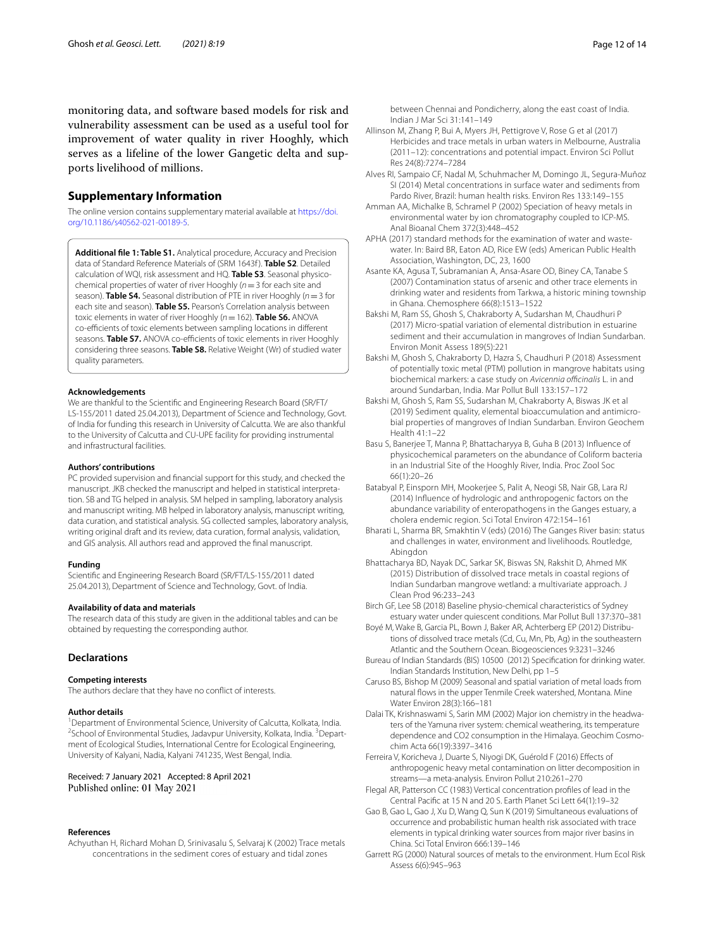monitoring data, and software based models for risk and vulnerability assessment can be used as a useful tool for improvement of water quality in river Hooghly, which serves as a lifeline of the lower Gangetic delta and supports livelihood of millions.

#### **Supplementary Information**

The online version contains supplementary material available at https://doi. org/10.1186/s40562-021-00189-5.

<span id="page-11-11"></span>**Additional file 1: Table S1.** Analytical procedure, Accuracy and Precision data of Standard Reference Materials of (SRM 1643f ). **Table S2**. Detailed calculation of WQI, risk assessment and HQ. **Table S3**. Seasonal physicochemical properties of water of river Hooghly ( $n=3$  for each site and season). **Table S4.** Seasonal distribution of PTE in river Hooghly (n = 3 for each site and season). **Table S5.** Pearson's Correlation analysis between toxic elements in water of river Hooghly (n= 162). **Table S6.** ANOVA co-efficients of toxic elements between sampling locations in different seasons. **Table S7.** ANOVA co-efficients of toxic elements in river Hooghly considering three seasons. **Table S8.** Relative Weight (Wr) of studied water quality parameters.

#### **Acknowledgements**

We are thankful to the Scientific and Engineering Research Board (SR/FT/ LS-155/2011 dated 25.04.2013), Department of Science and Technology, Govt. of India for funding this research in University of Calcutta. We are also thankful to the University of Calcutta and CU-UPE facility for providing instrumental and infrastructural facilities.

#### **Authors' contributions**

PC provided supervision and financial support for this study, and checked the manuscript. JKB checked the manuscript and helped in statistical interpretation. SB and TG helped in analysis. SM helped in sampling, laboratory analysis and manuscript writing. MB helped in laboratory analysis, manuscript writing, data curation, and statistical analysis. SG collected samples, laboratory analysis, writing original draft and its review, data curation, formal analysis, validation, and GIS analysis. All authors read and approved the final manuscript.

#### **Funding**

Scientific and Engineering Research Board (SR/FT/LS-155/2011 dated 25.04.2013), Department of Science and Technology, Govt. of India.

#### **Availability of data and materials**

The research data of this study are given in the additional tables and can be obtained by requesting the corresponding author.

#### **Declarations**

#### **Competing interests**

The authors declare that they have no conflict of interests.

#### **Author details**

<sup>1</sup> Department of Environmental Science, University of Calcutta, Kolkata, India. <sup>2</sup>School of Environmental Studies, Jadavpur University, Kolkata, India. <sup>3</sup>Department of Ecological Studies, International Centre for Ecological Engineering, University of Kalyani, Nadia, Kalyani 741235, West Bengal, India.

#### Received: 7 January 2021 Accepted: 8 April 2021 Published online: 01 May 2021

#### **References**

<span id="page-11-21"></span>Achyuthan H, Richard Mohan D, Srinivasalu S, Selvaraj K (2002) Trace metals concentrations in the sediment cores of estuary and tidal zones

between Chennai and Pondicherry, along the east coast of India. Indian J Mar Sci 31:141–149

- <span id="page-11-7"></span>Allinson M, Zhang P, Bui A, Myers JH, Pettigrove V, Rose G et al (2017) Herbicides and trace metals in urban waters in Melbourne, Australia (2011–12): concentrations and potential impact. Environ Sci Pollut Res 24(8):7274–7284
- <span id="page-11-5"></span>Alves RI, Sampaio CF, Nadal M, Schuhmacher M, Domingo JL, Segura-Muñoz SI (2014) Metal concentrations in surface water and sediments from Pardo River, Brazil: human health risks. Environ Res 133:149–155
- <span id="page-11-0"></span>Amman AA, Michalke B, Schramel P (2002) Speciation of heavy metals in environmental water by ion chromatography coupled to ICP-MS. Anal Bioanal Chem 372(3):448–452
- <span id="page-11-10"></span>APHA (2017) standard methods for the examination of water and wastewater. In: Baird BR, Eaton AD, Rice EW (eds) American Public Health Association, Washington, DC, 23, 1600
- <span id="page-11-17"></span>Asante KA, Agusa T, Subramanian A, Ansa-Asare OD, Biney CA, Tanabe S (2007) Contamination status of arsenic and other trace elements in drinking water and residents from Tarkwa, a historic mining township in Ghana. Chemosphere 66(8):1513–1522
- <span id="page-11-15"></span>Bakshi M, Ram SS, Ghosh S, Chakraborty A, Sudarshan M, Chaudhuri P (2017) Micro-spatial variation of elemental distribution in estuarine sediment and their accumulation in mangroves of Indian Sundarban. Environ Monit Assess 189(5):221
- <span id="page-11-22"></span>Bakshi M, Ghosh S, Chakraborty D, Hazra S, Chaudhuri P (2018) Assessment of potentially toxic metal (PTM) pollution in mangrove habitats using biochemical markers: a case study on Avicennia officinalis L. in and around Sundarban, India. Mar Pollut Bull 133:157–172
- <span id="page-11-16"></span>Bakshi M, Ghosh S, Ram SS, Sudarshan M, Chakraborty A, Biswas JK et al (2019) Sediment quality, elemental bioaccumulation and antimicrobial properties of mangroves of Indian Sundarban. Environ Geochem Health 41:1–22
- <span id="page-11-14"></span>Basu S, Banerjee T, Manna P, Bhattacharyya B, Guha B (2013) Influence of physicochemical parameters on the abundance of Coliform bacteria in an Industrial Site of the Hooghly River, India. Proc Zool Soc 66(1):20–26
- <span id="page-11-13"></span>Batabyal P, Einsporn MH, Mookerjee S, Palit A, Neogi SB, Nair GB, Lara RJ (2014) Influence of hydrologic and anthropogenic factors on the abundance variability of enteropathogens in the Ganges estuary, a cholera endemic region. Sci Total Environ 472:154–161
- <span id="page-11-9"></span>Bharati L, Sharma BR, Smakhtin V (eds) (2016) The Ganges River basin: status and challenges in water, environment and livelihoods. Routledge, Abingdon
- <span id="page-11-1"></span>Bhattacharya BD, Nayak DC, Sarkar SK, Biswas SN, Rakshit D, Ahmed MK (2015) Distribution of dissolved trace metals in coastal regions of Indian Sundarban mangrove wetland: a multivariate approach. J Clean Prod 96:233–243
- <span id="page-11-18"></span>Birch GF, Lee SB (2018) Baseline physio-chemical characteristics of Sydney estuary water under quiescent conditions. Mar Pollut Bull 137:370–381
- <span id="page-11-3"></span>Boyé M, Wake B, Garcia PL, Bown J, Baker AR, Achterberg EP (2012) Distributions of dissolved trace metals (Cd, Cu, Mn, Pb, Ag) in the southeastern Atlantic and the Southern Ocean. Biogeosciences 9:3231–3246
- <span id="page-11-12"></span>Bureau of Indian Standards (BIS) 10500 (2012) Specification for drinking water. Indian Standards Institution, New Delhi, pp 1–5
- <span id="page-11-19"></span>Caruso BS, Bishop M (2009) Seasonal and spatial variation of metal loads from natural flows in the upper Tenmile Creek watershed, Montana. Mine Water Environ 28(3):166–181
- <span id="page-11-20"></span>Dalai TK, Krishnaswami S, Sarin MM (2002) Major ion chemistry in the headwaters of the Yamuna river system: chemical weathering, its temperature dependence and CO2 consumption in the Himalaya. Geochim Cosmochim Acta 66(19):3397–3416
- <span id="page-11-6"></span>Ferreira V, Koricheva J, Duarte S, Niyogi DK, Guérold F (2016) Effects of anthropogenic heavy metal contamination on litter decomposition in streams—a meta-analysis. Environ Pollut 210:261–270
- <span id="page-11-4"></span>Flegal AR, Patterson CC (1983) Vertical concentration profiles of lead in the Central Pacific at 15 N and 20 S. Earth Planet Sci Lett 64(1):19–32
- <span id="page-11-8"></span>Gao B, Gao L, Gao J, Xu D, Wang Q, Sun K (2019) Simultaneous evaluations of occurrence and probabilistic human health risk associated with trace elements in typical drinking water sources from major river basins in China. Sci Total Environ 666:139–146
- <span id="page-11-2"></span>Garrett RG (2000) Natural sources of metals to the environment. Hum Ecol Risk Assess 6(6):945–963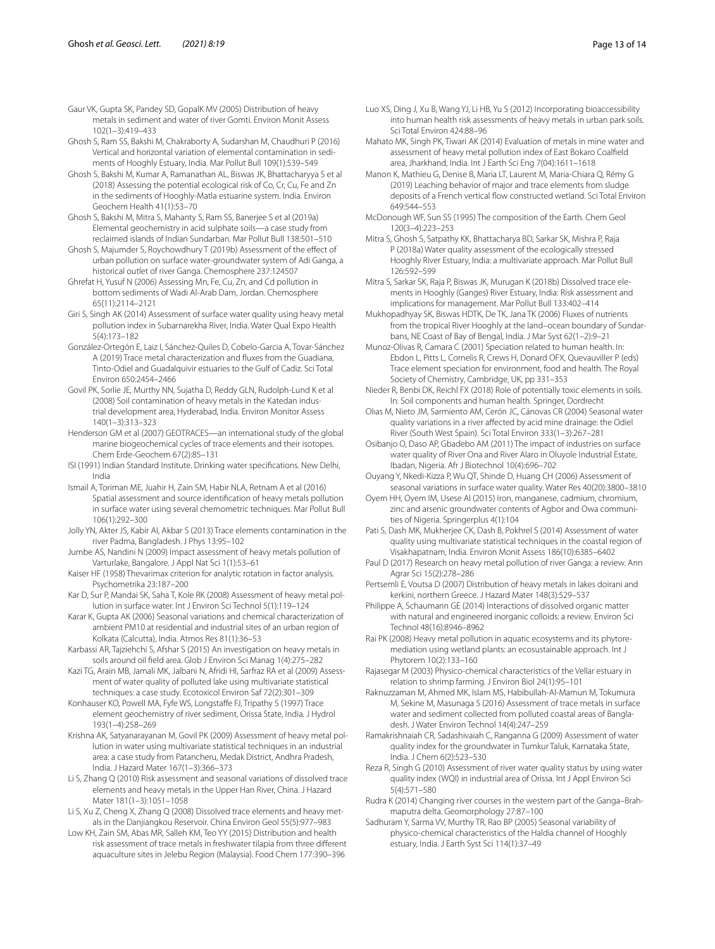- <span id="page-12-33"></span>Gaur VK, Gupta SK, Pandey SD, GopalK MV (2005) Distribution of heavy metals in sediment and water of river Gomti. Environ Monit Assess 102(1–3):419–433
- <span id="page-12-1"></span>Ghosh S, Ram SS, Bakshi M, Chakraborty A, Sudarshan M, Chaudhuri P (2016) Vertical and horizontal variation of elemental contamination in sediments of Hooghly Estuary, India. Mar Pollut Bull 109(1):539–549
- <span id="page-12-35"></span>Ghosh S, Bakshi M, Kumar A, Ramanathan AL, Biswas JK, Bhattacharyya S et al (2018) Assessing the potential ecological risk of Co, Cr, Cu, Fe and Zn in the sediments of Hooghly-Matla estuarine system. India. Environ Geochem Health 41(1):53–70
- <span id="page-12-24"></span>Ghosh S, Bakshi M, Mitra S, Mahanty S, Ram SS, Banerjee S et al (2019a) Elemental geochemistry in acid sulphate soils—a case study from reclaimed islands of Indian Sundarban. Mar Pollut Bull 138:501–510
- <span id="page-12-29"></span>Ghosh S, Majumder S, Roychowdhury T (2019b) Assessment of the effect of urban pollution on surface water-groundwater system of Adi Ganga, a historical outlet of river Ganga. Chemosphere 237:124507
- <span id="page-12-43"></span>Ghrefat H, Yusuf N (2006) Assessing Mn, Fe, Cu, Zn, and Cd pollution in bottom sediments of Wadi Al-Arab Dam, Jordan. Chemosphere 65(11):2114–2121
- <span id="page-12-40"></span>Giri S, Singh AK (2014) Assessment of surface water quality using heavy metal pollution index in Subarnarekha River, India. Water Qual Expo Health 5(4):173–182
- <span id="page-12-3"></span>González-Ortegón E, Laiz I, Sánchez-Quiles D, Cobelo-Garcia A, Tovar-Sánchez A (2019) Trace metal characterization and fluxes from the Guadiana, Tinto-Odiel and Guadalquivir estuaries to the Gulf of Cadiz. Sci Total Environ 650:2454–2466
- <span id="page-12-28"></span>Govil PK, Sorlie JE, Murthy NN, Sujatha D, Reddy GLN, Rudolph-Lund K et al (2008) Soil contamination of heavy metals in the Katedan industrial development area, Hyderabad, India. Environ Monitor Assess 140(1–3):313–323
- <span id="page-12-13"></span>Henderson GM et al (2007) GEOTRACES—an international study of the global marine biogeochemical cycles of trace elements and their isotopes. Chem Erde-Geochem 67(2):85–131
- <span id="page-12-45"></span>ISI (1991) Indian Standard Institute. Drinking water specifications. New Delhi, India
- <span id="page-12-38"></span>Ismail A, Toriman ME, Juahir H, Zain SM, Habir NLA, Retnam A et al (2016) Spatial assessment and source identification of heavy metals pollution in surface water using several chemometric techniques. Mar Pollut Bull 106(1):292–300
- <span id="page-12-31"></span>Jolly YN, Akter JS, Kabir AI, Akbar S (2013) Trace elements contamination in the river Padma, Bangladesh. J Phys 13:95–102
- <span id="page-12-41"></span>Jumbe AS, Nandini N (2009) Impact assessment of heavy metals pollution of Varturlake, Bangalore. J Appl Nat Sci 1(1):53–61
- <span id="page-12-18"></span>Kaiser HF (1958) Thevarimax criterion for analytic rotation in factor analysis. Psychometrika 23:187–200
- <span id="page-12-7"></span>Kar D, Sur P, Mandai SK, Saha T, Kole RK (2008) Assessment of heavy metal pollution in surface water. Int J Environ Sci Technol 5(1):119–124
- <span id="page-12-27"></span>Karar K, Gupta AK (2006) Seasonal variations and chemical characterization of ambient PM10 at residential and industrial sites of an urban region of Kolkata (Calcutta), India. Atmos Res 81(1):36–53
- <span id="page-12-8"></span>Karbassi AR, Tajziehchi S, Afshar S (2015) An investigation on heavy metals in soils around oil field area. Glob J Environ Sci Manag 1(4):275–282
- <span id="page-12-25"></span>Kazi TG, Arain MB, Jamali MK, Jalbani N, Afridi HI, Sarfraz RA et al (2009) Assessment of water quality of polluted lake using multivariate statistical techniques: a case study. Ecotoxicol Environ Saf 72(2):301–309
- <span id="page-12-32"></span>Konhauser KO, Powell MA, Fyfe WS, Longstaffe FJ, Tripathy S (1997) Trace element geochemistry of river sediment, Orissa State, India. J Hydrol 193(1–4):258–269
- <span id="page-12-34"></span>Krishna AK, Satyanarayanan M, Govil PK (2009) Assessment of heavy metal pollution in water using multivariate statistical techniques in an industrial area: a case study from Patancheru, Medak District, Andhra Pradesh, India. J Hazard Mater 167(1–3):366–373
- <span id="page-12-11"></span>Li S, Zhang Q (2010) Risk assessment and seasonal variations of dissolved trace elements and heavy metals in the Upper Han River, China. J Hazard Mater 181(1–3):1051–1058
- <span id="page-12-15"></span>Li S, Xu Z, Cheng X, Zhang Q (2008) Dissolved trace elements and heavy metals in the Danjiangkou Reservoir. China Environ Geol 55(5):977–983
- <span id="page-12-6"></span>Low KH, Zain SM, Abas MR, Salleh KM, Teo YY (2015) Distribution and health risk assessment of trace metals in freshwater tilapia from three different aquaculture sites in Jelebu Region (Malaysia). Food Chem 177:390–396
- <span id="page-12-20"></span>Luo XS, Ding J, Xu B, Wang YJ, Li HB, Yu S (2012) Incorporating bioaccessibility into human health risk assessments of heavy metals in urban park soils. Sci Total Environ 424:88–96
- <span id="page-12-39"></span>Mahato MK, Singh PK, Tiwari AK (2014) Evaluation of metals in mine water and assessment of heavy metal pollution index of East Bokaro Coalfield area, Jharkhand, India. Int J Earth Sci Eng 7(04):1611–1618
- <span id="page-12-44"></span>Manon K, Mathieu G, Denise B, Maria LT, Laurent M, Maria-Chiara Q, Rémy G (2019) Leaching behavior of major and trace elements from sludge deposits of a French vertical flow constructed wetland. Sci Total Environ 649:544–553
- <span id="page-12-42"></span>McDonough WF, Sun SS (1995) The composition of the Earth. Chem Geol 120(3–4):223–253
- <span id="page-12-2"></span>Mitra S, Ghosh S, Satpathy KK, Bhattacharya BD, Sarkar SK, Mishra P, Raja P (2018a) Water quality assessment of the ecologically stressed Hooghly River Estuary, India: a multivariate approach. Mar Pollut Bull 126:592–599
- <span id="page-12-16"></span>Mitra S, Sarkar SK, Raja P, Biswas JK, Murugan K (2018b) Dissolved trace elements in Hooghly (Ganges) River Estuary, India: Risk assessment and implications for management. Mar Pollut Bull 133:402–414
- <span id="page-12-12"></span>Mukhopadhyay SK, Biswas HDTK, De TK, Jana TK (2006) Fluxes of nutrients from the tropical River Hooghly at the land–ocean boundary of Sundarbans, NE Coast of Bay of Bengal, India. J Mar Syst 62(1–2):9–21
- <span id="page-12-5"></span>Munoz-Olivas R, Camara C (2001) Speciation related to human health. In: Ebdon L, Pitts L, Cornelis R, Crews H, Donard OFX, Quevauviller P (eds) Trace element speciation for environment, food and health. The Royal Society of Chemistry, Cambridge, UK, pp 331–353
- <span id="page-12-4"></span>Nieder R, Benbi DK, Reichl FX (2018) Role of potentially toxic elements in soils. In: Soil components and human health. Springer, Dordrecht
- <span id="page-12-30"></span>Olıas M, Nieto JM, Sarmiento AM, Cerón JC, Cánovas CR (2004) Seasonal water quality variations in a river affected by acid mine drainage: the Odiel River (South West Spain). Sci Total Environ 333(1–3):267–281
- <span id="page-12-21"></span>Osibanjo O, Daso AP, Gbadebo AM (2011) The impact of industries on surface water quality of River Ona and River Alaro in Oluyole Industrial Estate, Ibadan, Nigeria. Afr J Biotechnol 10(4):696–702
- <span id="page-12-10"></span>Ouyang Y, Nkedi-Kizza P, Wu QT, Shinde D, Huang CH (2006) Assessment of seasonal variations in surface water quality. Water Res 40(20):3800–3810
- <span id="page-12-46"></span>Oyem HH, Oyem IM, Usese AI (2015) Iron, manganese, cadmium, chromium, zinc and arsenic groundwater contents of Agbor and Owa communities of Nigeria. Springerplus 4(1):104
- <span id="page-12-26"></span>Pati S, Dash MK, Mukherjee CK, Dash B, Pokhrel S (2014) Assessment of water quality using multivariate statistical techniques in the coastal region of Visakhapatnam, India. Environ Monit Assess 186(10):6385–6402
- <span id="page-12-47"></span>Paul D (2017) Research on heavy metal pollution of river Ganga: a review. Ann Agrar Sci 15(2):278–286
- <span id="page-12-14"></span>Pertsemli E, Voutsa D (2007) Distribution of heavy metals in lakes doirani and kerkini, northern Greece. J Hazard Mater 148(3):529–537
- <span id="page-12-9"></span>Philippe A, Schaumann GE (2014) Interactions of dissolved organic matter with natural and engineered inorganic colloids: a review. Environ Sci Technol 48(16):8946–8962
- <span id="page-12-0"></span>Rai PK (2008) Heavy metal pollution in aquatic ecosystems and its phytoremediation using wetland plants: an ecosustainable approach. Int J Phytorem 10(2):133–160
- <span id="page-12-23"></span>Rajasegar M (2003) Physico-chemical characteristics of the Vellar estuary in relation to shrimp farming. J Environ Biol 24(1):95–101
- <span id="page-12-37"></span>Raknuzzaman M, Ahmed MK, Islam MS, Habibullah-Al-Mamun M, Tokumura M, Sekine M, Masunaga S (2016) Assessment of trace metals in surface water and sediment collected from polluted coastal areas of Bangladesh. J Water Environ Technol 14(4):247–259
- <span id="page-12-19"></span>Ramakrishnaiah CR, Sadashivaiah C, Ranganna G (2009) Assessment of water quality index for the groundwater in Tumkur Taluk, Karnataka State, India. J Chem 6(2):523–530
- <span id="page-12-36"></span>Reza R, Singh G (2010) Assessment of river water quality status by using water quality index (WQI) in industrial area of Orissa. Int J Appl Environ Sci 5(4):571–580
- <span id="page-12-17"></span>Rudra K (2014) Changing river courses in the western part of the Ganga–Brahmaputra delta. Geomorphology 27:87–100
- <span id="page-12-22"></span>Sadhuram Y, Sarma VV, Murthy TR, Rao BP (2005) Seasonal variability of physico-chemical characteristics of the Haldia channel of Hooghly estuary, India. J Earth Syst Sci 114(1):37–49